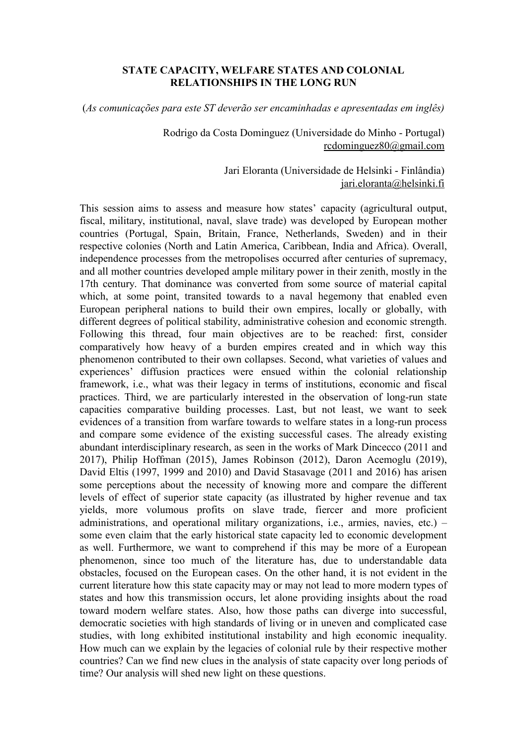## **STATE CAPACITY, WELFARE STATES AND COLONIAL RELATIONSHIPS IN THE LONG RUN**

(*As comunicações para este ST deverão ser encaminhadas e apresentadas em inglês)*

Rodrigo da Costa Dominguez (Universidade do Minho - Portugal) [rcdominguez80@gmail.com](mailto:rcdominguez80@gmail.com)

> Jari Eloranta (Universidade de Helsinki - Finlândia) [jari.eloranta@helsinki.fi](mailto:jari.eloranta@helsinki.fi)

This session aims to assess and measure how states' capacity (agricultural output, fiscal, military, institutional, naval, slave trade) was developed by European mother countries (Portugal, Spain, Britain, France, Netherlands, Sweden) and in their respective colonies (North and Latin America, Caribbean, India and Africa). Overall, independence processes from the metropolises occurred after centuries of supremacy, and all mother countries developed ample military power in their zenith, mostly in the 17th century. That dominance was converted from some source of material capital which, at some point, transited towards to a naval hegemony that enabled even European peripheral nations to build their own empires, locally or globally, with different degrees of political stability, administrative cohesion and economic strength. Following this thread, four main objectives are to be reached: first, consider comparatively how heavy of a burden empires created and in which way this phenomenon contributed to their own collapses. Second, what varieties of values and experiences' diffusion practices were ensued within the colonial relationship framework, i.e., what was their legacy in terms of institutions, economic and fiscal practices. Third, we are particularly interested in the observation of long-run state capacities comparative building processes. Last, but not least, we want to seek evidences of a transition from warfare towards to welfare states in a long-run process and compare some evidence of the existing successful cases. The already existing abundant interdisciplinary research, as seen in the works of Mark Dincecco (2011 and 2017), Philip Hoffman (2015), James Robinson (2012), Daron Acemoglu (2019), David Eltis (1997, 1999 and 2010) and David Stasavage (2011 and 2016) has arisen some perceptions about the necessity of knowing more and compare the different levels of effect of superior state capacity (as illustrated by higher revenue and tax yields, more volumous profits on slave trade, fiercer and more proficient administrations, and operational military organizations, i.e., armies, navies, etc.) – some even claim that the early historical state capacity led to economic development as well. Furthermore, we want to comprehend if this may be more of a European phenomenon, since too much of the literature has, due to understandable data obstacles, focused on the European cases. On the other hand, it is not evident in the current literature how this state capacity may or may not lead to more modern types of states and how this transmission occurs, let alone providing insights about the road toward modern welfare states. Also, how those paths can diverge into successful, democratic societies with high standards of living or in uneven and complicated case studies, with long exhibited institutional instability and high economic inequality. How much can we explain by the legacies of colonial rule by their respective mother countries? Can we find new clues in the analysis of state capacity over long periods of time? Our analysis will shed new light on these questions.